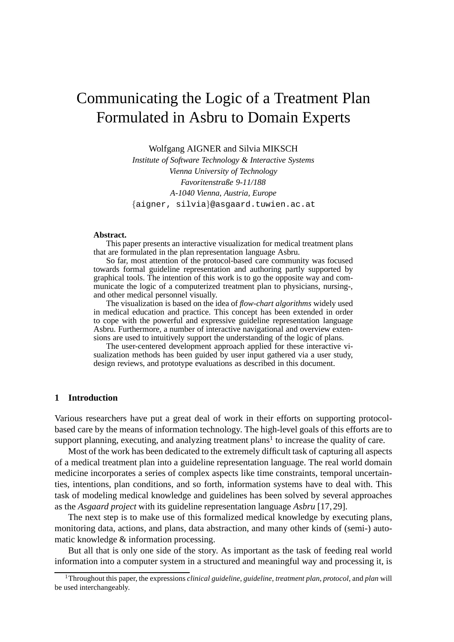# Communicating the Logic of a Treatment Plan Formulated in Asbru to Domain Experts

Wolfgang AIGNER and Silvia MIKSCH

*Institute of Software Technology & Interactive Systems Vienna University of Technology Favoritenstraße 9-11/188 A-1040 Vienna, Austria, Europe* {aigner, silvia}@asgaard.tuwien.ac.at

#### **Abstract.**

This paper presents an interactive visualization for medical treatment plans that are formulated in the plan representation language Asbru.

So far, most attention of the protocol-based care community was focused towards formal guideline representation and authoring partly supported by graphical tools. The intention of this work is to go the opposite way and communicate the logic of a computerized treatment plan to physicians, nursing-, and other medical personnel visually.

The visualization is based on the idea of *flow-chart algorithms* widely used in medical education and practice. This concept has been extended in order to cope with the powerful and expressive guideline representation language Asbru. Furthermore, a number of interactive navigational and overview extensions are used to intuitively support the understanding of the logic of plans.

The user-centered development approach applied for these interactive visualization methods has been guided by user input gathered via a user study, design reviews, and prototype evaluations as described in this document.

# **1 Introduction**

Various researchers have put a great deal of work in their efforts on supporting protocolbased care by the means of information technology. The high-level goals of this efforts are to support planning, executing, and analyzing treatment plans<sup>1</sup> to increase the quality of care.

Most of the work has been dedicated to the extremely difficult task of capturing all aspects of a medical treatment plan into a guideline representation language. The real world domain medicine incorporates a series of complex aspects like time constraints, temporal uncertainties, intentions, plan conditions, and so forth, information systems have to deal with. This task of modeling medical knowledge and guidelines has been solved by several approaches as the *Asgaard project* with its guideline representation language *Asbru* [17, 29].

The next step is to make use of this formalized medical knowledge by executing plans, monitoring data, actions, and plans, data abstraction, and many other kinds of (semi-) automatic knowledge & information processing.

But all that is only one side of the story. As important as the task of feeding real world information into a computer system in a structured and meaningful way and processing it, is

<sup>1</sup>Throughout this paper, the expressions *clinical guideline*, *guideline*, *treatment plan*, *protocol*, and *plan* will be used interchangeably.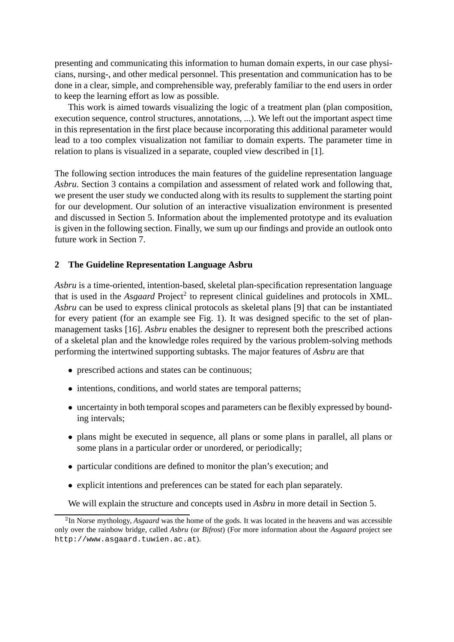presenting and communicating this information to human domain experts, in our case physicians, nursing-, and other medical personnel. This presentation and communication has to be done in a clear, simple, and comprehensible way, preferably familiar to the end users in order to keep the learning effort as low as possible.

This work is aimed towards visualizing the logic of a treatment plan (plan composition, execution sequence, control structures, annotations, ...). We left out the important aspect time in this representation in the first place because incorporating this additional parameter would lead to a too complex visualization not familiar to domain experts. The parameter time in relation to plans is visualized in a separate, coupled view described in [1].

The following section introduces the main features of the guideline representation language *Asbru*. Section 3 contains a compilation and assessment of related work and following that, we present the user study we conducted along with its results to supplement the starting point for our development. Our solution of an interactive visualization environment is presented and discussed in Section 5. Information about the implemented prototype and its evaluation is given in the following section. Finally, we sum up our findings and provide an outlook onto future work in Section 7.

# **2 The Guideline Representation Language Asbru**

*Asbru* is a time-oriented, intention-based, skeletal plan-specification representation language that is used in the *Asgaard* Project<sup>2</sup> to represent clinical guidelines and protocols in XML. *Asbru* can be used to express clinical protocols as skeletal plans [9] that can be instantiated for every patient (for an example see Fig. 1). It was designed specific to the set of planmanagement tasks [16]. *Asbru* enables the designer to represent both the prescribed actions of a skeletal plan and the knowledge roles required by the various problem-solving methods performing the intertwined supporting subtasks. The major features of *Asbru* are that

- prescribed actions and states can be continuous;
- intentions, conditions, and world states are temporal patterns;
- uncertainty in both temporal scopes and parameters can be flexibly expressed by bounding intervals;
- plans might be executed in sequence, all plans or some plans in parallel, all plans or some plans in a particular order or unordered, or periodically;
- particular conditions are defined to monitor the plan's execution; and
- explicit intentions and preferences can be stated for each plan separately.

We will explain the structure and concepts used in *Asbru* in more detail in Section 5.

<sup>2</sup> In Norse mythology, *Asgaard* was the home of the gods. It was located in the heavens and was accessible only over the rainbow bridge, called *Asbru* (or *Bifrost*) (For more information about the *Asgaard* project see http://www.asgaard.tuwien.ac.at).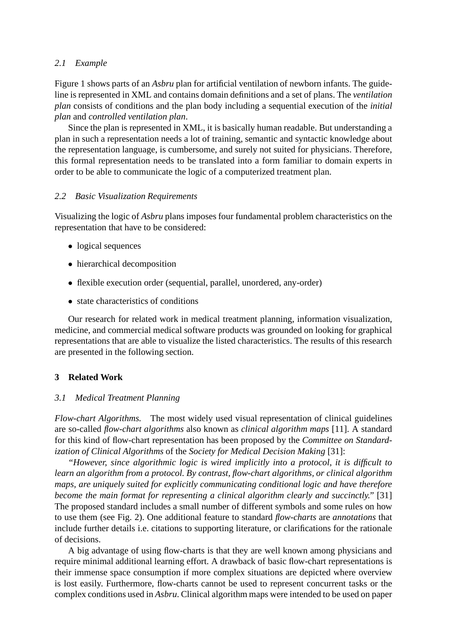# *2.1 Example*

Figure 1 shows parts of an *Asbru* plan for artificial ventilation of newborn infants. The guideline is represented in XML and contains domain definitions and a set of plans. The *ventilation plan* consists of conditions and the plan body including a sequential execution of the *initial plan* and *controlled ventilation plan*.

Since the plan is represented in XML, it is basically human readable. But understanding a plan in such a representation needs a lot of training, semantic and syntactic knowledge about the representation language, is cumbersome, and surely not suited for physicians. Therefore, this formal representation needs to be translated into a form familiar to domain experts in order to be able to communicate the logic of a computerized treatment plan.

# *2.2 Basic Visualization Requirements*

Visualizing the logic of *Asbru* plans imposes four fundamental problem characteristics on the representation that have to be considered:

- logical sequences
- hierarchical decomposition
- flexible execution order (sequential, parallel, unordered, any-order)
- state characteristics of conditions

Our research for related work in medical treatment planning, information visualization, medicine, and commercial medical software products was grounded on looking for graphical representations that are able to visualize the listed characteristics. The results of this research are presented in the following section.

# **3 Related Work**

## *3.1 Medical Treatment Planning*

*Flow-chart Algorithms.* The most widely used visual representation of clinical guidelines are so-called *flow-chart algorithms* also known as *clinical algorithm maps* [11]. A standard for this kind of flow-chart representation has been proposed by the *Committee on Standardization of Clinical Algorithms* of the *Society for Medical Decision Making* [31]:

*"However, since algorithmic logic is wired implicitly into a protocol, it is difficult to learn an algorithm from a protocol. By contrast, flow-chart algorithms, or clinical algorithm maps, are uniquely suited for explicitly communicating conditional logic and have therefore become the main format for representing a clinical algorithm clearly and succinctly."* [31] The proposed standard includes a small number of different symbols and some rules on how to use them (see Fig. 2). One additional feature to standard *flow-charts* are *annotations* that include further details i.e. citations to supporting literature, or clarifications for the rationale of decisions.

A big advantage of using flow-charts is that they are well known among physicians and require minimal additional learning effort. A drawback of basic flow-chart representations is their immense space consumption if more complex situations are depicted where overview is lost easily. Furthermore, flow-charts cannot be used to represent concurrent tasks or the complex conditions used in *Asbru*. Clinical algorithm maps were intended to be used on paper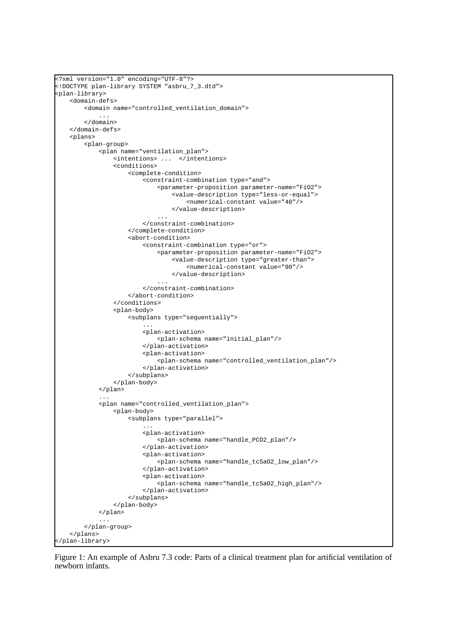```
<?xml version="1.0" encoding="UTF-8"?>
<!DOCTYPE plan-library SYSTEM "asbru_7_3.dtd">
<plan-library>
   <domain-defs>
       <domain name="controlled_ventilation_domain">
            ...
       </domain>
   </domain-defs>
    <plans>
       <plan-group>
            <plan name="ventilation_plan">
                <intentions> ... </intentions>
                <conditions>
                    <complete-condition>
                        -<br><constraint-combination type="and">
                            <parameter-proposition parameter-name="FiO2">
                                <value-description type="less-or-equal">
                                     <numerical-constant value="40"/>
                                </value-description>
                            ...
                        </constraint-combination>
                    </complete-condition>
                    <abort-condition>
                        <constraint-combination type="or">
                            <parameter-proposition parameter-name="FiO2">
                                <value-description type="greater-than">
                                     <numerical-constant value="90"/>
                                </value-description>
                             ...
                        </constraint-combination>
                    </abort-condition>
                </conditions>
                <plan-body>
                    <subplans type="sequentially">
                        ...
                        <plan-activation>
                            <plan-schema name="initial_plan"/>
                        </plan-activation>
                        <plan-activation>
                            <plan-schema name="controlled_ventilation_plan"/>
                        </plan-activation>
                    </subplans>
                </plan-body>
            </plan>
            ...
            <plan name="controlled_ventilation_plan">
                <plan-body>
                    <subplans type="parallel">
                        ...
                        <plan-activation>
                            <plan-schema name="handle_PCO2_plan"/>
                        </plan-activation>
                        <plan-activation>
                            <plan-schema name="handle_tcSaO2_low_plan"/>
                        </plan-activation>
                        <plan-activation>
                            <plan-schema name="handle_tcSaO2_high_plan"/>
                        </plan-activation>
                    </subplans>
                </plan-body>
            </plan>
            ...
        </plan-group>
    </plans>
</plan-library>
```
Figure 1: An example of Asbru 7.3 code: Parts of a clinical treatment plan for artificial ventilation of newborn infants.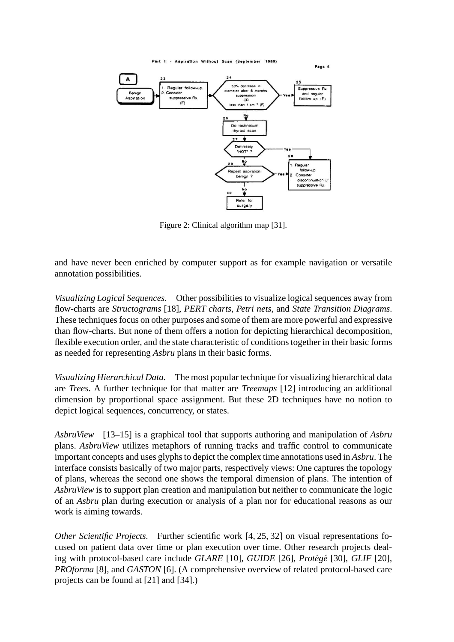Part II - Aspiration Without Scan (September 1989)



Figure 2: Clinical algorithm map [31].

and have never been enriched by computer support as for example navigation or versatile annotation possibilities.

*Visualizing Logical Sequences.* Other possibilities to visualize logical sequences away from flow-charts are *Structograms* [18], *PERT charts*, *Petri nets*, and *State Transition Diagrams*. These techniques focus on other purposes and some of them are more powerful and expressive than flow-charts. But none of them offers a notion for depicting hierarchical decomposition, flexible execution order, and the state characteristic of conditions together in their basic forms as needed for representing *Asbru* plans in their basic forms.

*Visualizing Hierarchical Data.* The most popular technique for visualizing hierarchical data are *Trees*. A further technique for that matter are *Treemaps* [12] introducing an additional dimension by proportional space assignment. But these 2D techniques have no notion to depict logical sequences, concurrency, or states.

*AsbruView* [13–15] is a graphical tool that supports authoring and manipulation of *Asbru* plans. *AsbruView* utilizes metaphors of running tracks and traffic control to communicate important concepts and uses glyphs to depict the complex time annotations used in *Asbru*. The interface consists basically of two major parts, respectively views: One captures the topology of plans, whereas the second one shows the temporal dimension of plans. The intention of *AsbruView* is to support plan creation and manipulation but neither to communicate the logic of an *Asbru* plan during execution or analysis of a plan nor for educational reasons as our work is aiming towards.

*Other Scientific Projects.* Further scientific work [4, 25, 32] on visual representations focused on patient data over time or plan execution over time. Other research projects dealing with protocol-based care include *GLARE* [10], *GUIDE* [26], *Protégé* [30], *GLIF* [20], *PROforma* [8], and *GASTON* [6]. (A comprehensive overview of related protocol-based care projects can be found at [21] and [34].)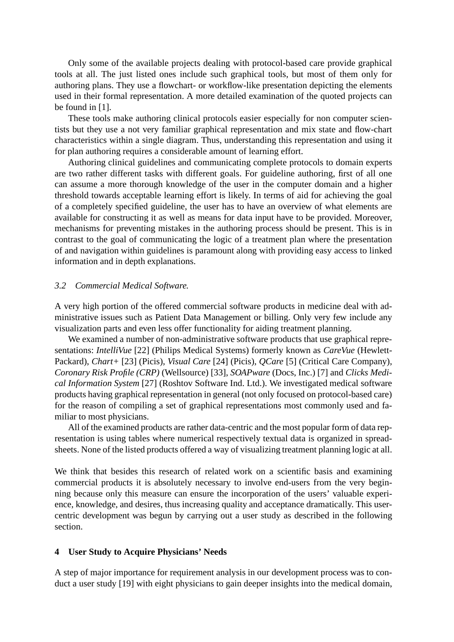Only some of the available projects dealing with protocol-based care provide graphical tools at all. The just listed ones include such graphical tools, but most of them only for authoring plans. They use a flowchart- or workflow-like presentation depicting the elements used in their formal representation. A more detailed examination of the quoted projects can be found in [1].

These tools make authoring clinical protocols easier especially for non computer scientists but they use a not very familiar graphical representation and mix state and flow-chart characteristics within a single diagram. Thus, understanding this representation and using it for plan authoring requires a considerable amount of learning effort.

Authoring clinical guidelines and communicating complete protocols to domain experts are two rather different tasks with different goals. For guideline authoring, first of all one can assume a more thorough knowledge of the user in the computer domain and a higher threshold towards acceptable learning effort is likely. In terms of aid for achieving the goal of a completely specified guideline, the user has to have an overview of what elements are available for constructing it as well as means for data input have to be provided. Moreover, mechanisms for preventing mistakes in the authoring process should be present. This is in contrast to the goal of communicating the logic of a treatment plan where the presentation of and navigation within guidelines is paramount along with providing easy access to linked information and in depth explanations.

#### *3.2 Commercial Medical Software.*

A very high portion of the offered commercial software products in medicine deal with administrative issues such as Patient Data Management or billing. Only very few include any visualization parts and even less offer functionality for aiding treatment planning.

We examined a number of non-administrative software products that use graphical representations: *IntelliVue* [22] (Philips Medical Systems) formerly known as *CareVue* (Hewlett-Packard), *Chart+* [23] (Picis), *Visual Care* [24] (Picis), *QCare* [5] (Critical Care Company), *Coronary Risk Profile (CRP)* (Wellsource) [33], *SOAPware* (Docs, Inc.) [7] and *Clicks Medical Information System* [27] (Roshtov Software Ind. Ltd.). We investigated medical software products having graphical representation in general (not only focused on protocol-based care) for the reason of compiling a set of graphical representations most commonly used and familiar to most physicians.

All of the examined products are rather data-centric and the most popular form of data representation is using tables where numerical respectively textual data is organized in spreadsheets. None of the listed products offered a way of visualizing treatment planning logic at all.

We think that besides this research of related work on a scientific basis and examining commercial products it is absolutely necessary to involve end-users from the very beginning because only this measure can ensure the incorporation of the users' valuable experience, knowledge, and desires, thus increasing quality and acceptance dramatically. This usercentric development was begun by carrying out a user study as described in the following section.

#### **4 User Study to Acquire Physicians' Needs**

A step of major importance for requirement analysis in our development process was to conduct a user study [19] with eight physicians to gain deeper insights into the medical domain,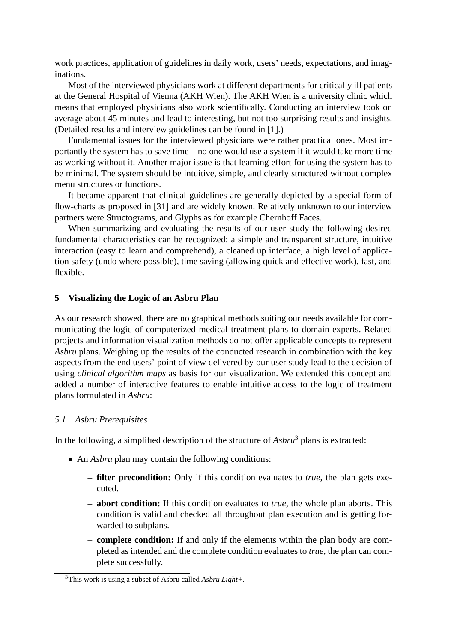work practices, application of guidelines in daily work, users' needs, expectations, and imaginations.

Most of the interviewed physicians work at different departments for critically ill patients at the General Hospital of Vienna (AKH Wien). The AKH Wien is a university clinic which means that employed physicians also work scientifically. Conducting an interview took on average about 45 minutes and lead to interesting, but not too surprising results and insights. (Detailed results and interview guidelines can be found in [1].)

Fundamental issues for the interviewed physicians were rather practical ones. Most importantly the system has to save time – no one would use a system if it would take more time as working without it. Another major issue is that learning effort for using the system has to be minimal. The system should be intuitive, simple, and clearly structured without complex menu structures or functions.

It became apparent that clinical guidelines are generally depicted by a special form of flow-charts as proposed in [31] and are widely known. Relatively unknown to our interview partners were Structograms, and Glyphs as for example Chernhoff Faces.

When summarizing and evaluating the results of our user study the following desired fundamental characteristics can be recognized: a simple and transparent structure, intuitive interaction (easy to learn and comprehend), a cleaned up interface, a high level of application safety (undo where possible), time saving (allowing quick and effective work), fast, and flexible.

# **5 Visualizing the Logic of an Asbru Plan**

As our research showed, there are no graphical methods suiting our needs available for communicating the logic of computerized medical treatment plans to domain experts. Related projects and information visualization methods do not offer applicable concepts to represent *Asbru* plans. Weighing up the results of the conducted research in combination with the key aspects from the end users' point of view delivered by our user study lead to the decision of using *clinical algorithm maps* as basis for our visualization. We extended this concept and added a number of interactive features to enable intuitive access to the logic of treatment plans formulated in *Asbru*:

## *5.1 Asbru Prerequisites*

In the following, a simplified description of the structure of *Asbru*<sup>3</sup> plans is extracted:

- An *Asbru* plan may contain the following conditions:
	- **filter precondition:** Only if this condition evaluates to *true*, the plan gets executed.
	- **abort condition:** If this condition evaluates to *true*, the whole plan aborts. This condition is valid and checked all throughout plan execution and is getting forwarded to subplans.
	- **complete condition:** If and only if the elements within the plan body are completed as intended and the complete condition evaluates to *true*, the plan can complete successfully.

<sup>3</sup>This work is using a subset of Asbru called *Asbru Light+*.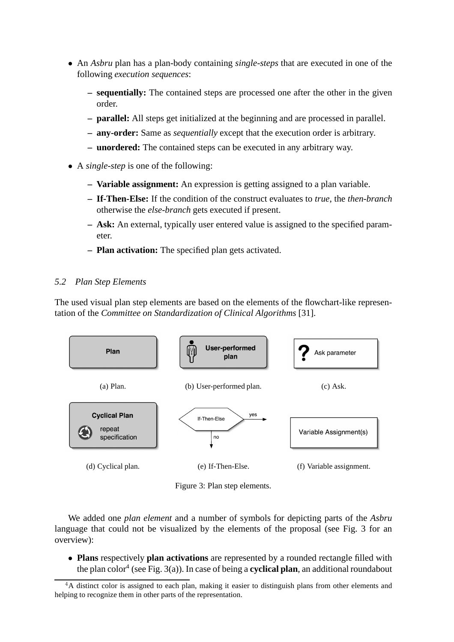- An *Asbru* plan has a plan-body containing *single-steps* that are executed in one of the following *execution sequences*:
	- **sequentially:** The contained steps are processed one after the other in the given order.
	- **parallel:** All steps get initialized at the beginning and are processed in parallel.
	- **any-order:** Same as *sequentially* except that the execution order is arbitrary.
	- **unordered:** The contained steps can be executed in any arbitrary way.
- A *single-step* is one of the following:
	- **Variable assignment:** An expression is getting assigned to a plan variable.
	- **If-Then-Else:** If the condition of the construct evaluates to *true*, the *then-branch* otherwise the *else-branch* gets executed if present.
	- **Ask:** An external, typically user entered value is assigned to the specified parameter.
	- **Plan activation:** The specified plan gets activated.

# *5.2 Plan Step Elements*

The used visual plan step elements are based on the elements of the flowchart-like representation of the *Committee on Standardization of Clinical Algorithms* [31].



Figure 3: Plan step elements.

We added one *plan element* and a number of symbols for depicting parts of the *Asbru* language that could not be visualized by the elements of the proposal (see Fig. 3 for an overview):

• **Plans** respectively **plan activations** are represented by a rounded rectangle filled with the plan color<sup>4</sup> (see Fig. 3(a)). In case of being a **cyclical plan**, an additional roundabout

<sup>&</sup>lt;sup>4</sup>A distinct color is assigned to each plan, making it easier to distinguish plans from other elements and helping to recognize them in other parts of the representation.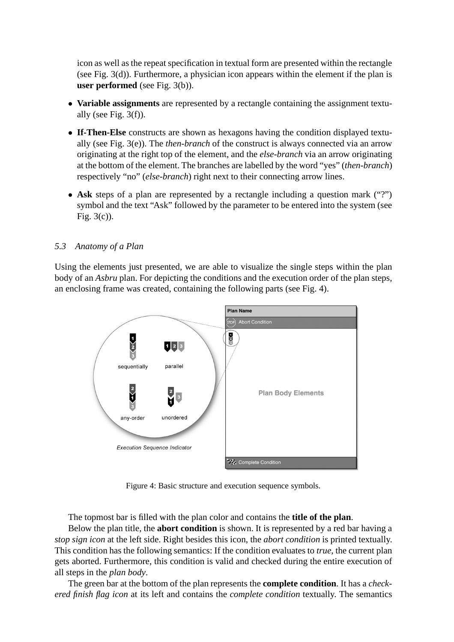icon as well as the repeat specification in textual form are presented within the rectangle (see Fig. 3(d)). Furthermore, a physician icon appears within the element if the plan is **user performed** (see Fig. 3(b)).

- **Variable assignments** are represented by a rectangle containing the assignment textually (see Fig.  $3(f)$ ).
- **If-Then-Else** constructs are shown as hexagons having the condition displayed textually (see Fig. 3(e)). The *then-branch* of the construct is always connected via an arrow originating at the right top of the element, and the *else-branch* via an arrow originating at the bottom of the element. The branches are labelled by the word "yes" (*then-branch*) respectively "no" (*else-branch*) right next to their connecting arrow lines.
- **Ask** steps of a plan are represented by a rectangle including a question mark ("?") symbol and the text "Ask" followed by the parameter to be entered into the system (see Fig. 3(c)).

# *5.3 Anatomy of a Plan*

Using the elements just presented, we are able to visualize the single steps within the plan body of an *Asbru* plan. For depicting the conditions and the execution order of the plan steps, an enclosing frame was created, containing the following parts (see Fig. 4).



Figure 4: Basic structure and execution sequence symbols.

The topmost bar is filled with the plan color and contains the **title of the plan**.

Below the plan title, the **abort condition** is shown. It is represented by a red bar having a *stop sign icon* at the left side. Right besides this icon, the *abort condition* is printed textually. This condition has the following semantics: If the condition evaluates to *true*, the current plan gets aborted. Furthermore, this condition is valid and checked during the entire execution of all steps in the *plan body*.

The green bar at the bottom of the plan represents the **complete condition**. It has a *checkered finish flag icon* at its left and contains the *complete condition* textually. The semantics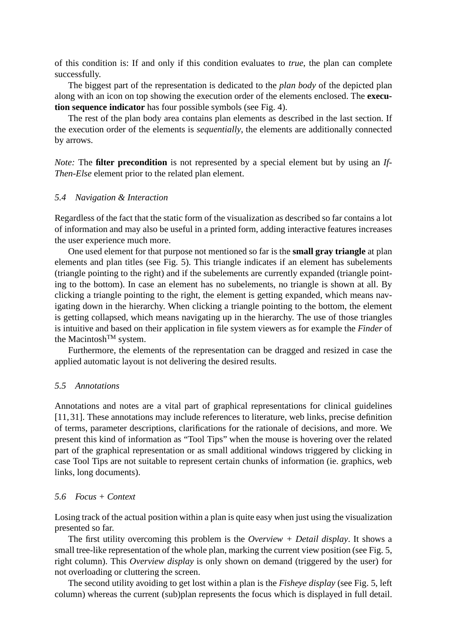of this condition is: If and only if this condition evaluates to *true*, the plan can complete successfully.

The biggest part of the representation is dedicated to the *plan body* of the depicted plan along with an icon on top showing the execution order of the elements enclosed. The **execution sequence indicator** has four possible symbols (see Fig. 4).

The rest of the plan body area contains plan elements as described in the last section. If the execution order of the elements is *sequentially*, the elements are additionally connected by arrows.

*Note:* The **filter precondition** is not represented by a special element but by using an *If-Then-Else* element prior to the related plan element.

#### *5.4 Navigation & Interaction*

Regardless of the fact that the static form of the visualization as described so far contains a lot of information and may also be useful in a printed form, adding interactive features increases the user experience much more.

One used element for that purpose not mentioned so far is the **small gray triangle** at plan elements and plan titles (see Fig. 5). This triangle indicates if an element has subelements (triangle pointing to the right) and if the subelements are currently expanded (triangle pointing to the bottom). In case an element has no subelements, no triangle is shown at all. By clicking a triangle pointing to the right, the element is getting expanded, which means navigating down in the hierarchy. When clicking a triangle pointing to the bottom, the element is getting collapsed, which means navigating up in the hierarchy. The use of those triangles is intuitive and based on their application in file system viewers as for example the *Finder* of the Macintosh<sup>TM</sup> system.

Furthermore, the elements of the representation can be dragged and resized in case the applied automatic layout is not delivering the desired results.

#### *5.5 Annotations*

Annotations and notes are a vital part of graphical representations for clinical guidelines [11, 31]. These annotations may include references to literature, web links, precise definition of terms, parameter descriptions, clarifications for the rationale of decisions, and more. We present this kind of information as "Tool Tips" when the mouse is hovering over the related part of the graphical representation or as small additional windows triggered by clicking in case Tool Tips are not suitable to represent certain chunks of information (ie. graphics, web links, long documents).

## *5.6 Focus + Context*

Losing track of the actual position within a plan is quite easy when just using the visualization presented so far.

The first utility overcoming this problem is the *Overview + Detail display*. It shows a small tree-like representation of the whole plan, marking the current view position (see Fig. 5, right column). This *Overview display* is only shown on demand (triggered by the user) for not overloading or cluttering the screen.

The second utility avoiding to get lost within a plan is the *Fisheye display* (see Fig. 5, left column) whereas the current (sub)plan represents the focus which is displayed in full detail.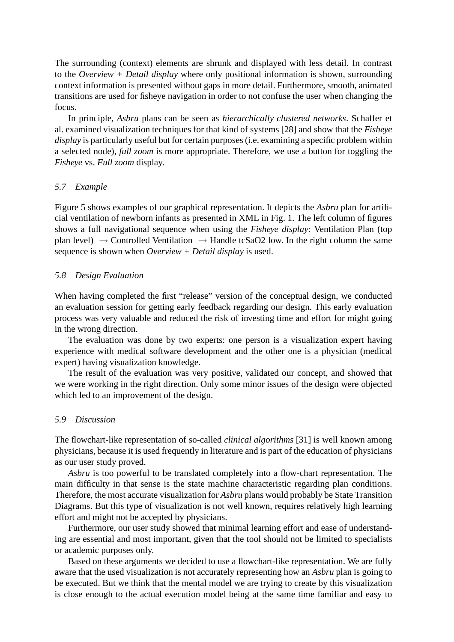The surrounding (context) elements are shrunk and displayed with less detail. In contrast to the *Overview + Detail display* where only positional information is shown, surrounding context information is presented without gaps in more detail. Furthermore, smooth, animated transitions are used for fisheye navigation in order to not confuse the user when changing the focus.

In principle, *Asbru* plans can be seen as *hierarchically clustered networks*. Schaffer et al. examined visualization techniques for that kind of systems [28] and show that the *Fisheye display* is particularly useful but for certain purposes (i.e. examining a specific problem within a selected node), *full zoom* is more appropriate. Therefore, we use a button for toggling the *Fisheye* vs. *Full zoom* display.

# *5.7 Example*

Figure 5 shows examples of our graphical representation. It depicts the *Asbru* plan for artificial ventilation of newborn infants as presented in XML in Fig. 1. The left column of figures shows a full navigational sequence when using the *Fisheye display*: Ventilation Plan (top plan level)  $\rightarrow$  Controlled Ventilation  $\rightarrow$  Handle tcSaO2 low. In the right column the same sequence is shown when *Overview + Detail display* is used.

## *5.8 Design Evaluation*

When having completed the first "release" version of the conceptual design, we conducted an evaluation session for getting early feedback regarding our design. This early evaluation process was very valuable and reduced the risk of investing time and effort for might going in the wrong direction.

The evaluation was done by two experts: one person is a visualization expert having experience with medical software development and the other one is a physician (medical expert) having visualization knowledge.

The result of the evaluation was very positive, validated our concept, and showed that we were working in the right direction. Only some minor issues of the design were objected which led to an improvement of the design.

## *5.9 Discussion*

The flowchart-like representation of so-called *clinical algorithms* [31] is well known among physicians, because it is used frequently in literature and is part of the education of physicians as our user study proved.

*Asbru* is too powerful to be translated completely into a flow-chart representation. The main difficulty in that sense is the state machine characteristic regarding plan conditions. Therefore, the most accurate visualization for *Asbru* plans would probably be State Transition Diagrams. But this type of visualization is not well known, requires relatively high learning effort and might not be accepted by physicians.

Furthermore, our user study showed that minimal learning effort and ease of understanding are essential and most important, given that the tool should not be limited to specialists or academic purposes only.

Based on these arguments we decided to use a flowchart-like representation. We are fully aware that the used visualization is not accurately representing how an *Asbru* plan is going to be executed. But we think that the mental model we are trying to create by this visualization is close enough to the actual execution model being at the same time familiar and easy to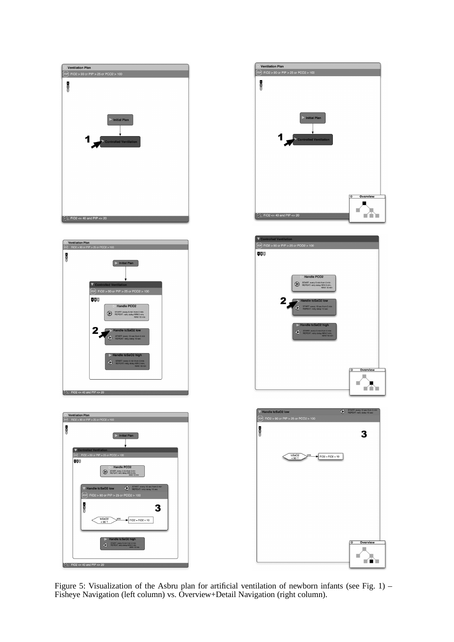

Figure 5: Visualization of the Asbru plan for artificial ventilation of newborn infants (see Fig. 1) – Fisheye Navigation (left column) vs. Overview+Detail Navigation (right column).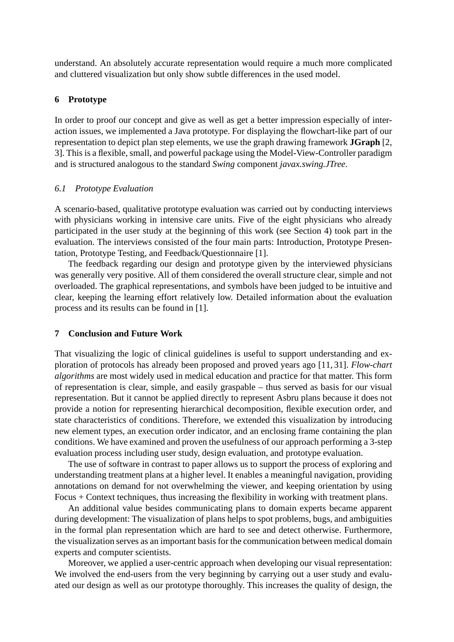understand. An absolutely accurate representation would require a much more complicated and cluttered visualization but only show subtle differences in the used model.

# **6 Prototype**

In order to proof our concept and give as well as get a better impression especially of interaction issues, we implemented a Java prototype. For displaying the flowchart-like part of our representation to depict plan step elements, we use the graph drawing framework **JGraph** [2, 3]. This is a flexible, small, and powerful package using the Model-View-Controller paradigm and is structured analogous to the standard *Swing* component *javax.swing.JTree*.

## *6.1 Prototype Evaluation*

A scenario-based, qualitative prototype evaluation was carried out by conducting interviews with physicians working in intensive care units. Five of the eight physicians who already participated in the user study at the beginning of this work (see Section 4) took part in the evaluation. The interviews consisted of the four main parts: Introduction, Prototype Presentation, Prototype Testing, and Feedback/Questionnaire [1].

The feedback regarding our design and prototype given by the interviewed physicians was generally very positive. All of them considered the overall structure clear, simple and not overloaded. The graphical representations, and symbols have been judged to be intuitive and clear, keeping the learning effort relatively low. Detailed information about the evaluation process and its results can be found in [1].

## **7 Conclusion and Future Work**

That visualizing the logic of clinical guidelines is useful to support understanding and exploration of protocols has already been proposed and proved years ago [11, 31]. *Flow-chart algorithms* are most widely used in medical education and practice for that matter. This form of representation is clear, simple, and easily graspable – thus served as basis for our visual representation. But it cannot be applied directly to represent Asbru plans because it does not provide a notion for representing hierarchical decomposition, flexible execution order, and state characteristics of conditions. Therefore, we extended this visualization by introducing new element types, an execution order indicator, and an enclosing frame containing the plan conditions. We have examined and proven the usefulness of our approach performing a 3-step evaluation process including user study, design evaluation, and prototype evaluation.

The use of software in contrast to paper allows us to support the process of exploring and understanding treatment plans at a higher level. It enables a meaningful navigation, providing annotations on demand for not overwhelming the viewer, and keeping orientation by using Focus + Context techniques, thus increasing the flexibility in working with treatment plans.

An additional value besides communicating plans to domain experts became apparent during development: The visualization of plans helps to spot problems, bugs, and ambiguities in the formal plan representation which are hard to see and detect otherwise. Furthermore, the visualization serves as an important basis for the communication between medical domain experts and computer scientists.

Moreover, we applied a user-centric approach when developing our visual representation: We involved the end-users from the very beginning by carrying out a user study and evaluated our design as well as our prototype thoroughly. This increases the quality of design, the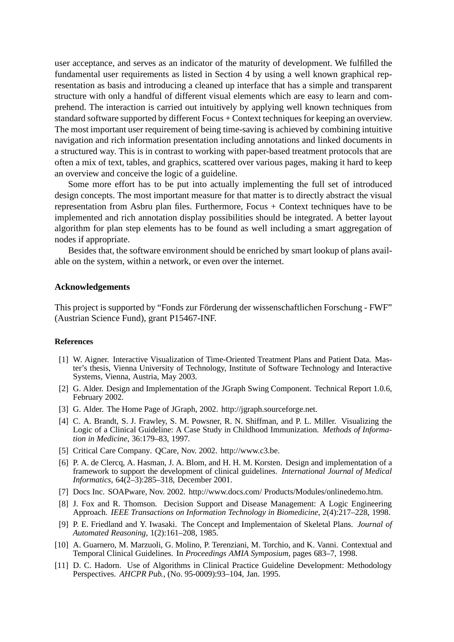user acceptance, and serves as an indicator of the maturity of development. We fulfilled the fundamental user requirements as listed in Section 4 by using a well known graphical representation as basis and introducing a cleaned up interface that has a simple and transparent structure with only a handful of different visual elements which are easy to learn and comprehend. The interaction is carried out intuitively by applying well known techniques from standard software supported by different Focus + Context techniques for keeping an overview. The most important user requirement of being time-saving is achieved by combining intuitive navigation and rich information presentation including annotations and linked documents in a structured way. This is in contrast to working with paper-based treatment protocols that are often a mix of text, tables, and graphics, scattered over various pages, making it hard to keep an overview and conceive the logic of a guideline.

Some more effort has to be put into actually implementing the full set of introduced design concepts. The most important measure for that matter is to directly abstract the visual representation from Asbru plan files. Furthermore, Focus + Context techniques have to be implemented and rich annotation display possibilities should be integrated. A better layout algorithm for plan step elements has to be found as well including a smart aggregation of nodes if appropriate.

Besides that, the software environment should be enriched by smart lookup of plans available on the system, within a network, or even over the internet.

#### **Acknowledgements**

This project is supported by "Fonds zur Förderung der wissenschaftlichen Forschung - FWF" (Austrian Science Fund), grant P15467-INF.

#### **References**

- [1] W. Aigner. Interactive Visualization of Time-Oriented Treatment Plans and Patient Data. Master's thesis, Vienna University of Technology, Institute of Software Technology and Interactive Systems, Vienna, Austria, May 2003.
- [2] G. Alder. Design and Implementation of the JGraph Swing Component. Technical Report 1.0.6, February 2002.
- [3] G. Alder. The Home Page of JGraph, 2002. http://jgraph.sourceforge.net.
- [4] C. A. Brandt, S. J. Frawley, S. M. Powsner, R. N. Shiffman, and P. L. Miller. Visualizing the Logic of a Clinical Guideline: A Case Study in Childhood Immunization. *Methods of Information in Medicine*, 36:179–83, 1997.
- [5] Critical Care Company. QCare, Nov. 2002. http://www.c3.be.
- [6] P. A. de Clercq, A. Hasman, J. A. Blom, and H. H. M. Korsten. Design and implementation of a framework to support the development of clinical guidelines. *International Journal of Medical Informatics*, 64(2–3):285–318, December 2001.
- [7] Docs Inc. SOAPware, Nov. 2002. http://www.docs.com/ Products/Modules/onlinedemo.htm.
- [8] J. Fox and R. Thomson. Decision Support and Disease Management: A Logic Engineering Approach. *IEEE Transactions on Information Technology in Biomedicine*, 2(4):217–228, 1998.
- [9] P. E. Friedland and Y. Iwasaki. The Concept and Implementaion of Skeletal Plans. *Journal of Automated Reasoning*, 1(2):161–208, 1985.
- [10] A. Guarnero, M. Marzuoli, G. Molino, P. Terenziani, M. Torchio, and K. Vanni. Contextual and Temporal Clinical Guidelines. In *Proceedings AMIA Symposium*, pages 683–7, 1998.
- [11] D. C. Hadorn. Use of Algorithms in Clinical Practice Guideline Development: Methodology Perspectives. *AHCPR Pub.*, (No. 95-0009):93–104, Jan. 1995.